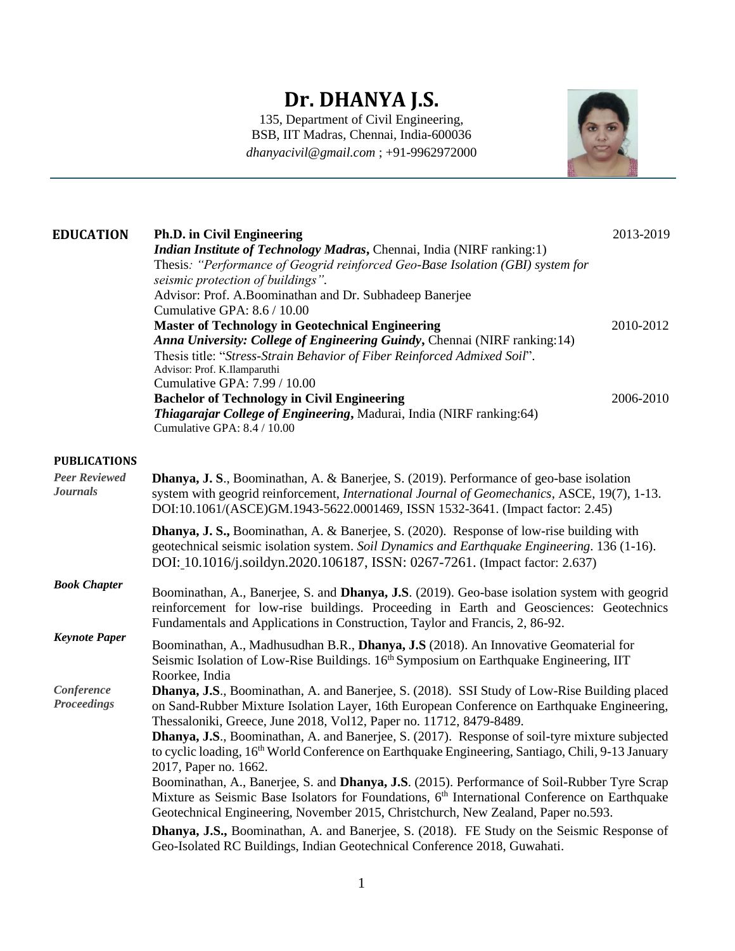## **Dr. DHANYA J.S.**

135, Department of Civil Engineering, BSB, IIT Madras, Chennai, India-600036 *dhanyacivil@gmail.com* ; +91-9962972000



| <b>EDUCATION</b>                        | <b>Ph.D. in Civil Engineering</b><br>Indian Institute of Technology Madras, Chennai, India (NIRF ranking:1)<br>Thesis: "Performance of Geogrid reinforced Geo-Base Isolation (GBI) system for<br>seismic protection of buildings".<br>Advisor: Prof. A.Boominathan and Dr. Subhadeep Banerjee<br>Cumulative GPA: 8.6 / 10.00            | 2013-2019              |  |
|-----------------------------------------|-----------------------------------------------------------------------------------------------------------------------------------------------------------------------------------------------------------------------------------------------------------------------------------------------------------------------------------------|------------------------|--|
|                                         | <b>Master of Technology in Geotechnical Engineering</b><br>Anna University: College of Engineering Guindy, Chennai (NIRF ranking: 14)<br>Thesis title: "Stress-Strain Behavior of Fiber Reinforced Admixed Soil".<br>Advisor: Prof. K.Ilamparuthi<br>Cumulative GPA: 7.99 / 10.00<br><b>Bachelor of Technology in Civil Engineering</b> | 2010-2012<br>2006-2010 |  |
|                                         | Thiagarajar College of Engineering, Madurai, India (NIRF ranking:64)<br>Cumulative GPA: 8.4 / 10.00                                                                                                                                                                                                                                     |                        |  |
| <b>PUBLICATIONS</b>                     |                                                                                                                                                                                                                                                                                                                                         |                        |  |
| <b>Peer Reviewed</b><br><b>Journals</b> | <b>Dhanya, J. S., Boominathan, A. &amp; Banerjee, S. (2019). Performance of geo-base isolation</b><br>system with geogrid reinforcement, International Journal of Geomechanics, ASCE, 19(7), 1-13.<br>DOI:10.1061/(ASCE)GM.1943-5622.0001469, ISSN 1532-3641. (Impact factor: 2.45)                                                     |                        |  |
|                                         | <b>Dhanya, J. S., Boominathan, A. &amp; Banerjee, S. (2020). Response of low-rise building with</b><br>geotechnical seismic isolation system. Soil Dynamics and Earthquake Engineering. 136 (1-16).<br>DOI: 10.1016/j.soildyn.2020.106187, ISSN: 0267-7261. (Impact factor: 2.637)                                                      |                        |  |
| <b>Book Chapter</b>                     | Boominathan, A., Banerjee, S. and <b>Dhanya, J.S</b> . (2019). Geo-base isolation system with geogrid<br>reinforcement for low-rise buildings. Proceeding in Earth and Geosciences: Geotechnics<br>Fundamentals and Applications in Construction, Taylor and Francis, 2, 86-92.                                                         |                        |  |
| <b>Keynote Paper</b>                    | Boominathan, A., Madhusudhan B.R., Dhanya, J.S (2018). An Innovative Geomaterial for<br>Seismic Isolation of Low-Rise Buildings. 16th Symposium on Earthquake Engineering, IIT<br>Roorkee, India                                                                                                                                        |                        |  |
| Conference<br><b>Proceedings</b>        | <b>Dhanya, J.S.</b> , Boominathan, A. and Banerjee, S. (2018). SSI Study of Low-Rise Building placed<br>on Sand-Rubber Mixture Isolation Layer, 16th European Conference on Earthquake Engineering,<br>Thessaloniki, Greece, June 2018, Vol12, Paper no. 11712, 8479-8489.                                                              |                        |  |
|                                         | <b>Dhanya, J.S.</b> , Boominathan, A. and Banerjee, S. (2017). Response of soil-tyre mixture subjected<br>to cyclic loading, 16 <sup>th</sup> World Conference on Earthquake Engineering, Santiago, Chili, 9-13 January<br>2017, Paper no. 1662.                                                                                        |                        |  |
|                                         | Boominathan, A., Banerjee, S. and Dhanya, J.S. (2015). Performance of Soil-Rubber Tyre Scrap<br>Mixture as Seismic Base Isolators for Foundations, 6 <sup>th</sup> International Conference on Earthquake<br>Geotechnical Engineering, November 2015, Christchurch, New Zealand, Paper no.593.                                          |                        |  |
|                                         | <b>Dhanya, J.S., Boominathan, A. and Banerjee, S. (2018).</b> FE Study on the Seismic Response of<br>Geo-Isolated RC Buildings, Indian Geotechnical Conference 2018, Guwahati.                                                                                                                                                          |                        |  |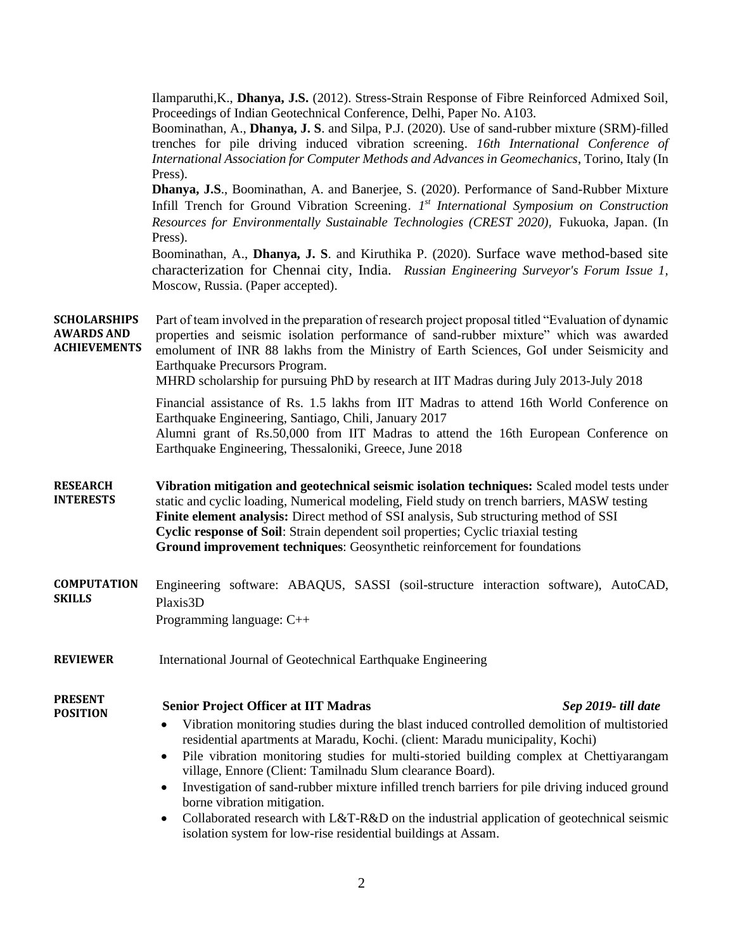|                                                                 | Ilamparuthi, K., Dhanya, J.S. (2012). Stress-Strain Response of Fibre Reinforced Admixed Soil,<br>Proceedings of Indian Geotechnical Conference, Delhi, Paper No. A103.<br>Boominathan, A., Dhanya, J. S. and Silpa, P.J. (2020). Use of sand-rubber mixture (SRM)-filled<br>trenches for pile driving induced vibration screening. 16th International Conference of<br>International Association for Computer Methods and Advances in Geomechanics, Torino, Italy (In<br>Press).<br>Dhanya, J.S., Boominathan, A. and Banerjee, S. (2020). Performance of Sand-Rubber Mixture<br>Infill Trench for Ground Vibration Screening. 1st International Symposium on Construction<br>Resources for Environmentally Sustainable Technologies (CREST 2020), Fukuoka, Japan. (In<br>Press). |
|-----------------------------------------------------------------|------------------------------------------------------------------------------------------------------------------------------------------------------------------------------------------------------------------------------------------------------------------------------------------------------------------------------------------------------------------------------------------------------------------------------------------------------------------------------------------------------------------------------------------------------------------------------------------------------------------------------------------------------------------------------------------------------------------------------------------------------------------------------------|
|                                                                 | Boominathan, A., Dhanya, J. S. and Kiruthika P. (2020). Surface wave method-based site<br>characterization for Chennai city, India. Russian Engineering Surveyor's Forum Issue 1,<br>Moscow, Russia. (Paper accepted).                                                                                                                                                                                                                                                                                                                                                                                                                                                                                                                                                             |
| <b>SCHOLARSHIPS</b><br><b>AWARDS AND</b><br><b>ACHIEVEMENTS</b> | Part of team involved in the preparation of research project proposal titled "Evaluation of dynamic<br>properties and seismic isolation performance of sand-rubber mixture" which was awarded<br>emolument of INR 88 lakhs from the Ministry of Earth Sciences, GoI under Seismicity and<br>Earthquake Precursors Program.<br>MHRD scholarship for pursuing PhD by research at IIT Madras during July 2013-July 2018                                                                                                                                                                                                                                                                                                                                                               |
|                                                                 | Financial assistance of Rs. 1.5 lakhs from IIT Madras to attend 16th World Conference on<br>Earthquake Engineering, Santiago, Chili, January 2017<br>Alumni grant of Rs.50,000 from IIT Madras to attend the 16th European Conference on<br>Earthquake Engineering, Thessaloniki, Greece, June 2018                                                                                                                                                                                                                                                                                                                                                                                                                                                                                |
| <b>RESEARCH</b><br><b>INTERESTS</b>                             | Vibration mitigation and geotechnical seismic isolation techniques: Scaled model tests under<br>static and cyclic loading, Numerical modeling, Field study on trench barriers, MASW testing<br>Finite element analysis: Direct method of SSI analysis, Sub structuring method of SSI<br>Cyclic response of Soil: Strain dependent soil properties; Cyclic triaxial testing<br>Ground improvement techniques: Geosynthetic reinforcement for foundations                                                                                                                                                                                                                                                                                                                            |
| <b>COMPUTATION</b><br><b>SKILLS</b>                             | Engineering software: ABAQUS, SASSI (soil-structure interaction software), AutoCAD,<br>Plaxis3D<br>Programming language: C++                                                                                                                                                                                                                                                                                                                                                                                                                                                                                                                                                                                                                                                       |
| <b>REVIEWER</b>                                                 | International Journal of Geotechnical Earthquake Engineering                                                                                                                                                                                                                                                                                                                                                                                                                                                                                                                                                                                                                                                                                                                       |
| <b>PRESENT</b><br><b>POSITION</b>                               | <b>Senior Project Officer at IIT Madras</b><br>Sep 2019- till date<br>Vibration monitoring studies during the blast induced controlled demolition of multistoried<br>residential apartments at Maradu, Kochi. (client: Maradu municipality, Kochi)                                                                                                                                                                                                                                                                                                                                                                                                                                                                                                                                 |

2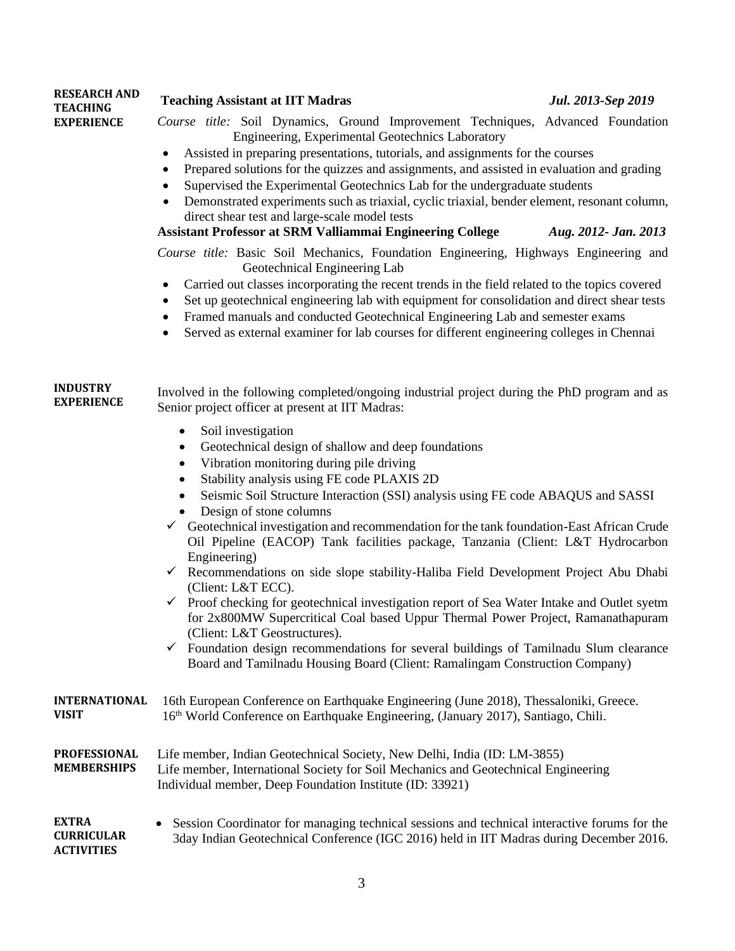| <b>RESEARCH AND</b><br><b>TEACHING</b>                 | <b>Teaching Assistant at IIT Madras</b>                                                                                                                                                                                                                                                                                                                                                                                                                                                                                                                                                                                                                                                                                                                                                                                                                                                                                                                                                                                                                | Jul. 2013-Sep 2019                                                                                                                                                                     |  |  |
|--------------------------------------------------------|--------------------------------------------------------------------------------------------------------------------------------------------------------------------------------------------------------------------------------------------------------------------------------------------------------------------------------------------------------------------------------------------------------------------------------------------------------------------------------------------------------------------------------------------------------------------------------------------------------------------------------------------------------------------------------------------------------------------------------------------------------------------------------------------------------------------------------------------------------------------------------------------------------------------------------------------------------------------------------------------------------------------------------------------------------|----------------------------------------------------------------------------------------------------------------------------------------------------------------------------------------|--|--|
| <b>EXPERIENCE</b>                                      | Course title: Soil Dynamics, Ground Improvement Techniques, Advanced Foundation<br>Engineering, Experimental Geotechnics Laboratory<br>Assisted in preparing presentations, tutorials, and assignments for the courses<br>$\bullet$<br>Prepared solutions for the quizzes and assignments, and assisted in evaluation and grading<br>$\bullet$<br>Supervised the Experimental Geotechnics Lab for the undergraduate students<br>Demonstrated experiments such as triaxial, cyclic triaxial, bender element, resonant column,<br>$\bullet$<br>direct shear test and large-scale model tests<br>Assistant Professor at SRM Valliammai Engineering College<br>Aug. 2012- Jan. 2013                                                                                                                                                                                                                                                                                                                                                                        |                                                                                                                                                                                        |  |  |
|                                                        | Course title: Basic Soil Mechanics, Foundation Engineering, Highways Engineering and<br>Geotechnical Engineering Lab<br>Carried out classes incorporating the recent trends in the field related to the topics covered<br>$\bullet$<br>Set up geotechnical engineering lab with equipment for consolidation and direct shear tests<br>$\bullet$<br>Framed manuals and conducted Geotechnical Engineering Lab and semester exams<br>٠<br>Served as external examiner for lab courses for different engineering colleges in Chennai<br>$\bullet$                                                                                                                                                                                                                                                                                                                                                                                                                                                                                                         |                                                                                                                                                                                        |  |  |
| <b>INDUSTRY</b><br><b>EXPERIENCE</b>                   | Involved in the following completed/ongoing industrial project during the PhD program and as<br>Senior project officer at present at IIT Madras:<br>Soil investigation<br>$\bullet$                                                                                                                                                                                                                                                                                                                                                                                                                                                                                                                                                                                                                                                                                                                                                                                                                                                                    |                                                                                                                                                                                        |  |  |
|                                                        | Geotechnical design of shallow and deep foundations<br>٠<br>Vibration monitoring during pile driving<br>$\bullet$<br>Stability analysis using FE code PLAXIS 2D<br>$\bullet$<br>Seismic Soil Structure Interaction (SSI) analysis using FE code ABAQUS and SASSI<br>$\bullet$<br>Design of stone columns<br>$\checkmark$ Geotechnical investigation and recommendation for the tank foundation-East African Crude<br>Oil Pipeline (EACOP) Tank facilities package, Tanzania (Client: L&T Hydrocarbon<br>Engineering)<br>$\checkmark$ Recommendations on side slope stability-Haliba Field Development Project Abu Dhabi<br>(Client: L&T ECC).<br>$\checkmark$ Proof checking for geotechnical investigation report of Sea Water Intake and Outlet syetm<br>for 2x800MW Supercritical Coal based Uppur Thermal Power Project, Ramanathapuram<br>(Client: L&T Geostructures).<br>Foundation design recommendations for several buildings of Tamilnadu Slum clearance<br>✓<br>Board and Tamilnadu Housing Board (Client: Ramalingam Construction Company) |                                                                                                                                                                                        |  |  |
| <b>INTERNATIONAL</b><br><b>VISIT</b>                   |                                                                                                                                                                                                                                                                                                                                                                                                                                                                                                                                                                                                                                                                                                                                                                                                                                                                                                                                                                                                                                                        | 16th European Conference on Earthquake Engineering (June 2018), Thessaloniki, Greece.<br>16 <sup>th</sup> World Conference on Earthquake Engineering, (January 2017), Santiago, Chili. |  |  |
| <b>PROFESSIONAL</b><br><b>MEMBERSHIPS</b>              | Life member, Indian Geotechnical Society, New Delhi, India (ID: LM-3855)<br>Life member, International Society for Soil Mechanics and Geotechnical Engineering<br>Individual member, Deep Foundation Institute (ID: 33921)                                                                                                                                                                                                                                                                                                                                                                                                                                                                                                                                                                                                                                                                                                                                                                                                                             |                                                                                                                                                                                        |  |  |
| <b>EXTRA</b><br><b>CURRICULAR</b><br><b>ACTIVITIES</b> | Session Coordinator for managing technical sessions and technical interactive forums for the<br>٠<br>3day Indian Geotechnical Conference (IGC 2016) held in IIT Madras during December 2016.                                                                                                                                                                                                                                                                                                                                                                                                                                                                                                                                                                                                                                                                                                                                                                                                                                                           |                                                                                                                                                                                        |  |  |